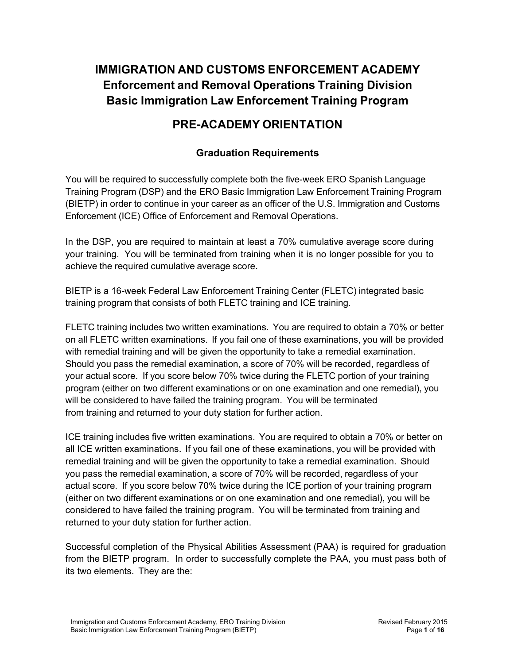# **IMMIGRATION AND CUSTOMS ENFORCEMENT ACADEMY Enforcement and Removal Operations Training Division Basic Immigration Law Enforcement Training Program**

# **PRE-ACADEMY ORIENTATION**

### **Graduation Requirements**

You will be required to successfully complete both the five-week ERO Spanish Language Training Program (DSP) and the ERO Basic Immigration Law Enforcement Training Program (BIETP) in order to continue in your career as an officer of the U.S. Immigration and Customs Enforcement (ICE) Office of Enforcement and Removal Operations.

In the DSP, you are required to maintain at least a 70% cumulative average score during your training. You will be terminated from training when it is no longer possible for you to achieve the required cumulative average score.

BIETP is a 16-week Federal Law Enforcement Training Center (FLETC) integrated basic training program that consists of both FLETC training and ICE training.

FLETC training includes two written examinations. You are required to obtain a 70% or better on all FLETC written examinations. If you fail one of these examinations, you will be provided with remedial training and will be given the opportunity to take a remedial examination. Should you pass the remedial examination, a score of 70% will be recorded, regardless of your actual score. If you score below 70% twice during the FLETC portion of your training program (either on two different examinations or on one examination and one remedial), you will be considered to have failed the training program. You will be terminated from training and returned to your duty station for further action.

ICE training includes five written examinations. You are required to obtain a 70% or better on all ICE written examinations. If you fail one of these examinations, you will be provided with remedial training and will be given the opportunity to take a remedial examination. Should you pass the remedial examination, a score of 70% will be recorded, regardless of your actual score. If you score below 70% twice during the ICE portion of your training program (either on two different examinations or on one examination and one remedial), you will be considered to have failed the training program. You will be terminated from training and returned to your duty station for further action.

Successful completion of the Physical Abilities Assessment (PAA) is required for graduation from the BIETP program. In order to successfully complete the PAA, you must pass both of its two elements. They are the: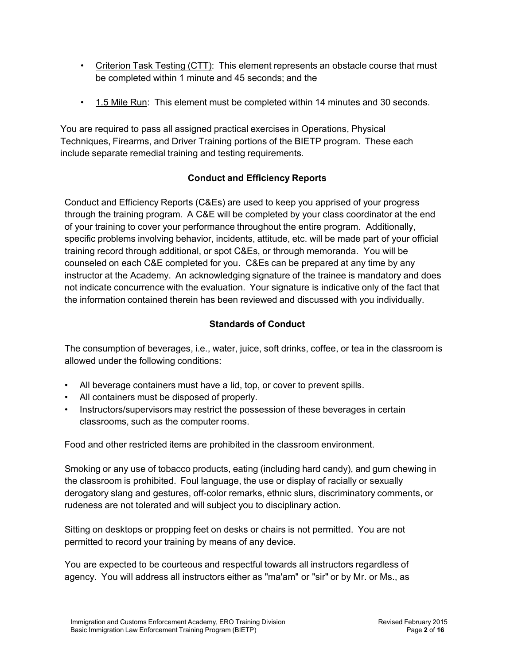- Criterion Task Testing (CTT): This element represents an obstacle course that must be completed within 1 minute and 45 seconds; and the
- 1.5 Mile Run: This element must be completed within 14 minutes and 30 seconds.

You are required to pass all assigned practical exercises in Operations, Physical Techniques, Firearms, and Driver Training portions of the BIETP program. These each include separate remedial training and testing requirements.

## **Conduct and Efficiency Reports**

Conduct and Efficiency Reports (C&Es) are used to keep you apprised of your progress through the training program. A C&E will be completed by your class coordinator at the end of your training to cover your performance throughout the entire program. Additionally, specific problems involving behavior, incidents, attitude, etc. will be made part of your official training record through additional, or spot C&Es, or through memoranda. You will be counseled on each C&E completed for you. C&Es can be prepared at any time by any instructor at the Academy. An acknowledging signature of the trainee is mandatory and does not indicate concurrence with the evaluation. Your signature is indicative only of the fact that the information contained therein has been reviewed and discussed with you individually.

## **Standards of Conduct**

The consumption of beverages, i.e., water, juice, soft drinks, coffee, or tea in the classroom is allowed under the following conditions:

- All beverage containers must have a lid, top, or cover to prevent spills.
- All containers must be disposed of properly.
- Instructors/supervisors may restrict the possession of these beverages in certain classrooms, such as the computer rooms.

Food and other restricted items are prohibited in the classroom environment.

Smoking or any use of tobacco products, eating (including hard candy), and gum chewing in the classroom is prohibited. Foul language, the use or display of racially or sexually derogatory slang and gestures, off-color remarks, ethnic slurs, discriminatory comments, or rudeness are not tolerated and will subject you to disciplinary action.

Sitting on desktops or propping feet on desks or chairs is not permitted. You are not permitted to record your training by means of any device.

You are expected to be courteous and respectful towards all instructors regardless of agency. You will address all instructors either as "ma'am" or "sir" or by Mr. or Ms., as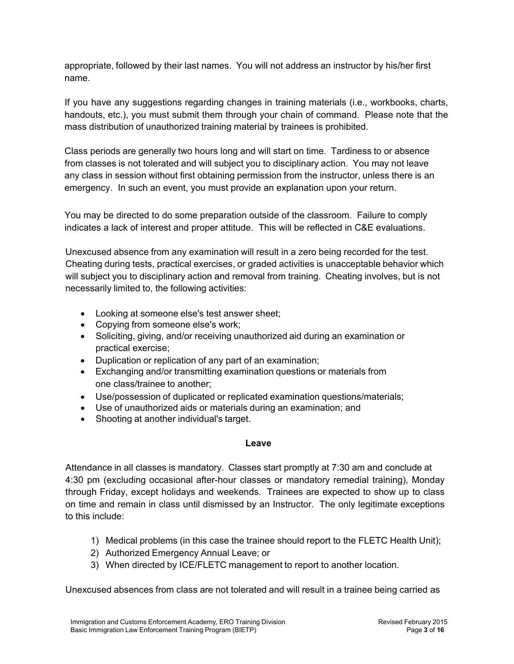appropriate, followed by their last names. You will not address an instructor by his/her first name.

If you have any suggestions regarding changes in training materials (i.e., workbooks, charts, handouts, etc.), you must submit them through your chain of command. Please note that the mass distribution of unauthorized training material by trainees is prohibited.

Class periods are generally two hours long and will start on time. Tardiness to or absence from classes is not tolerated and will subject you to disciplinary action. You may not leave any class in session without first obtaining permission from the instructor, unless there is an emergency. In such an event, you must provide an explanation upon your return.

You may be directed to do some preparation outside of the classroom. Failure to comply indicates a lack of interest and proper attitude. This will be reflected in C&E evaluations.

Unexcused absence from any examination will result in a zero being recorded for the test. Cheating during tests, practical exercises, or graded activities is unacceptable behavior which will subject you to disciplinary action and removal from training. Cheating involves, but is not necessarily limited to, the following activities:

- Looking at someone else's test answer sheet;
- Copying from someone else's work;
- Soliciting, giving, and/or receiving unauthorized aid during an examination or practical exercise;
- Duplication or replication of any part of an examination;
- Exchanging and/or transmitting examination questions or materials from one class/trainee to another;
- Use/possession of duplicated or replicated examination questions/materials;
- Use of unauthorized aids or materials during an examination; and
- Shooting at another individual's target.

#### **Leave**

Attendance in all classes is mandatory. Classes start promptly at 7:30 am and conclude at 4:30 pm (excluding occasional after-hour classes or mandatory remedial training), Monday through Friday, except holidays and weekends. Trainees are expected to show up to class on time and remain in class until dismissed by an Instructor. The only legitimate exceptions to this include:

- 1) Medical problems (in this case the trainee should report to the FLETC Health Unit);
- 2) Authorized Emergency Annual Leave; or
- 3) When directed by ICE/FLETC management to report to another location.

Unexcused absences from class are not tolerated and will result in a trainee being carried as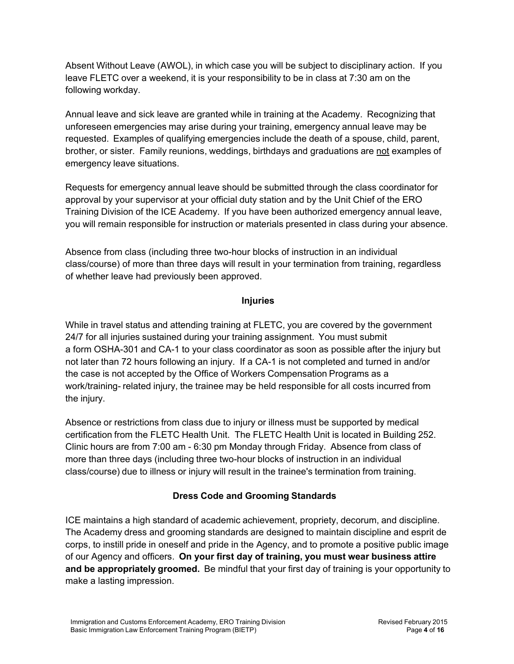Absent Without Leave (AWOL), in which case you will be subject to disciplinary action. If you leave FLETC over a weekend, it is your responsibility to be in class at 7:30 am on the following workday.

Annual leave and sick leave are granted while in training at the Academy. Recognizing that unforeseen emergencies may arise during your training, emergency annual leave may be requested. Examples of qualifying emergencies include the death of a spouse, child, parent, brother, or sister. Family reunions, weddings, birthdays and graduations are not examples of emergency leave situations.

Requests for emergency annual leave should be submitted through the class coordinator for approval by your supervisor at your official duty station and by the Unit Chief of the ERO Training Division of the ICE Academy. If you have been authorized emergency annual leave, you will remain responsible for instruction or materials presented in class during your absence.

Absence from class (including three two-hour blocks of instruction in an individual class/course) of more than three days will result in your termination from training, regardless of whether leave had previously been approved.

### **Injuries**

While in travel status and attending training at FLETC, you are covered by the government 24/7 for all injuries sustained during your training assignment. You must submit a form OSHA-301 and CA-1 to your class coordinator as soon as possible after the injury but not later than 72 hours following an injury. If a CA-1 is not completed and turned in and/or the case is not accepted by the Office of Workers Compensation Programs as a work/training- related injury, the trainee may be held responsible for all costs incurred from the injury.

Absence or restrictions from class due to injury or illness must be supported by medical certification from the FLETC Health Unit. The FLETC Health Unit is located in Building 252. Clinic hours are from 7:00 am - 6:30 pm Monday through Friday. Absence from class of more than three days (including three two-hour blocks of instruction in an individual class/course) due to illness or injury will result in the trainee's termination from training.

### **Dress Code and Grooming Standards**

ICE maintains a high standard of academic achievement, propriety, decorum, and discipline. The Academy dress and grooming standards are designed to maintain discipline and esprit de corps, to instill pride in oneself and pride in the Agency, and to promote a positive public image of our Agency and officers. **On your first day of training, you must wear business attire and be appropriately groomed.** Be mindful that your first day of training is your opportunity to make a lasting impression.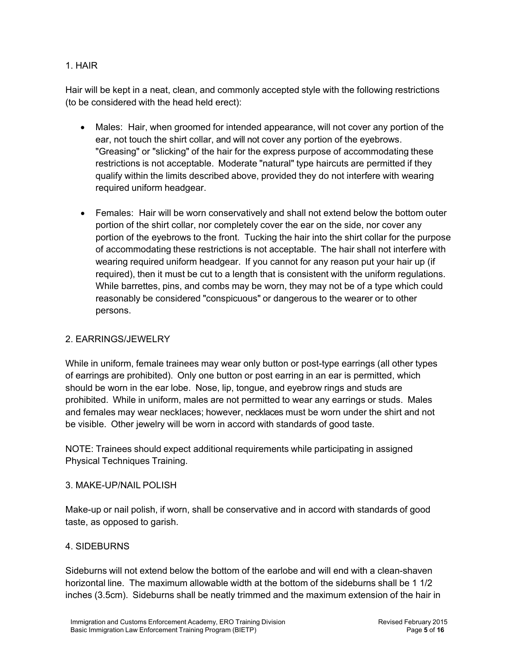### 1. HAIR

Hair will be kept in a neat, clean, and commonly accepted style with the following restrictions (to be considered with the head held erect):

- Males: Hair, when groomed for intended appearance, will not cover any portion of the ear, not touch the shirt collar, and will not cover any portion of the eyebrows. "Greasing" or "slicking" of the hair for the express purpose of accommodating these restrictions is not acceptable. Moderate "natural" type haircuts are permitted if they qualify within the limits described above, provided they do not interfere with wearing required uniform headgear.
- Females: Hair will be worn conservatively and shall not extend below the bottom outer portion of the shirt collar, nor completely cover the ear on the side, nor cover any portion of the eyebrows to the front. Tucking the hair into the shirt collar for the purpose of accommodating these restrictions is not acceptable. The hair shall not interfere with wearing required uniform headgear. If you cannot for any reason put your hair up (if required), then it must be cut to a length that is consistent with the uniform regulations. While barrettes, pins, and combs may be worn, they may not be of a type which could reasonably be considered "conspicuous" or dangerous to the wearer or to other persons.

### 2. EARRINGS/JEWELRY

While in uniform, female trainees may wear only button or post-type earrings (all other types of earrings are prohibited). Only one button or post earring in an ear is permitted, which should be worn in the ear lobe. Nose, lip, tongue, and eyebrow rings and studs are prohibited. While in uniform, males are not permitted to wear any earrings or studs. Males and females may wear necklaces; however, necklaces must be worn under the shirt and not be visible. Other jewelry will be worn in accord with standards of good taste.

NOTE: Trainees should expect additional requirements while participating in assigned Physical Techniques Training.

### 3. MAKE-UP/NAIL POLISH

Make-up or nail polish, if worn, shall be conservative and in accord with standards of good taste, as opposed to garish.

### 4. SIDEBURNS

Sideburns will not extend below the bottom of the earlobe and will end with a clean-shaven horizontal line. The maximum allowable width at the bottom of the sideburns shall be 1 1/2 inches (3.5cm). Sideburns shall be neatly trimmed and the maximum extension of the hair in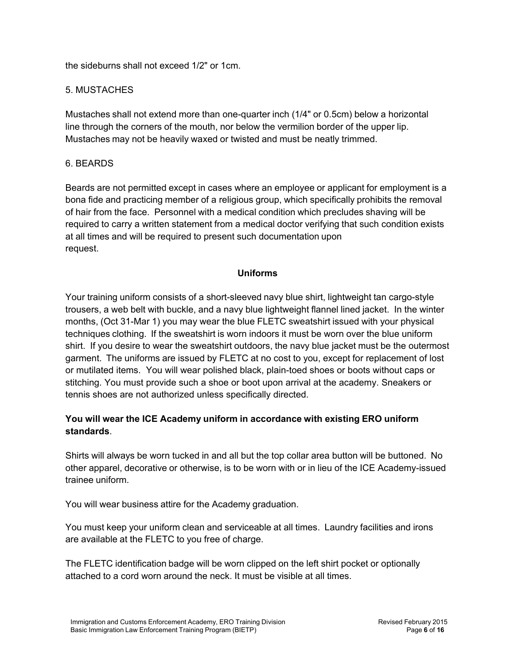the sideburns shall not exceed 1/2" or 1cm.

### 5. MUSTACHES

Mustaches shall not extend more than one-quarter inch (1/4" or 0.5cm) below a horizontal line through the corners of the mouth, nor below the vermilion border of the upper lip. Mustaches may not be heavily waxed or twisted and must be neatly trimmed.

#### 6. BEARDS

Beards are not permitted except in cases where an employee or applicant for employment is a bona fide and practicing member of a religious group, which specifically prohibits the removal of hair from the face. Personnel with a medical condition which precludes shaving will be required to carry a written statement from a medical doctor verifying that such condition exists at all times and will be required to present such documentation upon request.

### **Uniforms**

Your training uniform consists of a short-sleeved navy blue shirt, lightweight tan cargo-style trousers, a web belt with buckle, and a navy blue lightweight flannel lined jacket. In the winter months, (Oct 31-Mar 1) you may wear the blue FLETC sweatshirt issued with your physical techniques clothing. If the sweatshirt is worn indoors it must be worn over the blue uniform shirt. If you desire to wear the sweatshirt outdoors, the navy blue jacket must be the outermost garment. The uniforms are issued by FLETC at no cost to you, except for replacement of lost or mutilated items. You will wear polished black, plain-toed shoes or boots without caps or stitching. You must provide such a shoe or boot upon arrival at the academy. Sneakers or tennis shoes are not authorized unless specifically directed.

### **You will wear the ICE Academy uniform in accordance with existing ERO uniform standards**.

Shirts will always be worn tucked in and all but the top collar area button will be buttoned. No other apparel, decorative or otherwise, is to be worn with or in lieu of the ICE Academy-issued trainee uniform.

You will wear business attire for the Academy graduation.

You must keep your uniform clean and serviceable at all times. Laundry facilities and irons are available at the FLETC to you free of charge.

The FLETC identification badge will be worn clipped on the left shirt pocket or optionally attached to a cord worn around the neck. It must be visible at all times.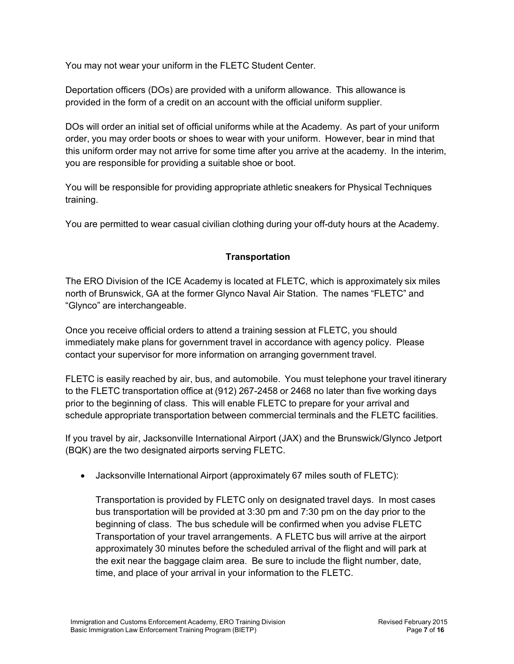You may not wear your uniform in the FLETC Student Center.

Deportation officers (DOs) are provided with a uniform allowance. This allowance is provided in the form of a credit on an account with the official uniform supplier.

DOs will order an initial set of official uniforms while at the Academy. As part of your uniform order, you may order boots or shoes to wear with your uniform. However, bear in mind that this uniform order may not arrive for some time after you arrive at the academy. In the interim, you are responsible for providing a suitable shoe or boot.

You will be responsible for providing appropriate athletic sneakers for Physical Techniques training.

You are permitted to wear casual civilian clothing during your off-duty hours at the Academy.

### **Transportation**

The ERO Division of the ICE Academy is located at FLETC, which is approximately six miles north of Brunswick, GA at the former Glynco Naval Air Station. The names "FLETC" and "Glynco" are interchangeable.

Once you receive official orders to attend a training session at FLETC, you should immediately make plans for government travel in accordance with agency policy. Please contact your supervisor for more information on arranging government travel.

FLETC is easily reached by air, bus, and automobile. You must telephone your travel itinerary to the FLETC transportation office at (912) 267-2458 or 2468 no later than five working days prior to the beginning of class. This will enable FLETC to prepare for your arrival and schedule appropriate transportation between commercial terminals and the FLETC facilities.

If you travel by air, Jacksonville International Airport (JAX) and the Brunswick/Glynco Jetport (BQK) are the two designated airports serving FLETC.

• Jacksonville International Airport (approximately 67 miles south of FLETC):

Transportation is provided by FLETC only on designated travel days. In most cases bus transportation will be provided at 3:30 pm and 7:30 pm on the day prior to the beginning of class. The bus schedule will be confirmed when you advise FLETC Transportation of your travel arrangements. A FLETC bus will arrive at the airport approximately 30 minutes before the scheduled arrival of the flight and will park at the exit near the baggage claim area. Be sure to include the flight number, date, time, and place of your arrival in your information to the FLETC.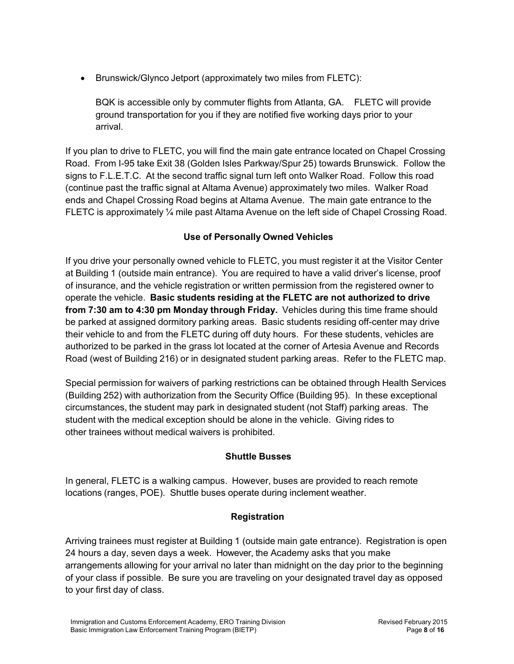• Brunswick/Glynco Jetport (approximately two miles from FLETC):

BQK is accessible only by commuter flights from Atlanta, GA. FLETC will provide ground transportation for you if they are notified five working days prior to your arrival.

If you plan to drive to FLETC, you will find the main gate entrance located on Chapel Crossing Road. From I-95 take Exit 38 (Golden Isles Parkway/Spur 25) towards Brunswick. Follow the signs to F.L.E.T.C. At the second traffic signal turn left onto Walker Road. Follow this road (continue past the traffic signal at Altama Avenue) approximately two miles. Walker Road ends and Chapel Crossing Road begins at Altama Avenue. The main gate entrance to the FLETC is approximately ¼ mile past Altama Avenue on the left side of Chapel Crossing Road.

### **Use of Personally Owned Vehicles**

If you drive your personally owned vehicle to FLETC, you must register it at the Visitor Center at Building 1 (outside main entrance). You are required to have a valid driver's license, proof of insurance, and the vehicle registration or written permission from the registered owner to operate the vehicle. **Basic students residing at the FLETC are not authorized to drive from 7:30 am to 4:30 pm Monday through Friday.** Vehicles during this time frame should be parked at assigned dormitory parking areas. Basic students residing off-center may drive their vehicle to and from the FLETC during off duty hours. For these students, vehicles are authorized to be parked in the grass lot located at the corner of Artesia Avenue and Records Road (west of Building 216) or in designated student parking areas. Refer to the FLETC map.

Special permission for waivers of parking restrictions can be obtained through Health Services (Building 252) with authorization from the Security Office (Building 95). In these exceptional circumstances, the student may park in designated student (not Staff) parking areas. The student with the medical exception should be alone in the vehicle. Giving rides to other trainees without medical waivers is prohibited.

### **Shuttle Busses**

In general, FLETC is a walking campus. However, buses are provided to reach remote locations (ranges, POE). Shuttle buses operate during inclement weather.

### **Registration**

Arriving trainees must register at Building 1 (outside main gate entrance). Registration is open 24 hours a day, seven days a week. However, the Academy asks that you make arrangements allowing for your arrival no later than midnight on the day prior to the beginning of your class if possible. Be sure you are traveling on your designated travel day as opposed to your first day of class.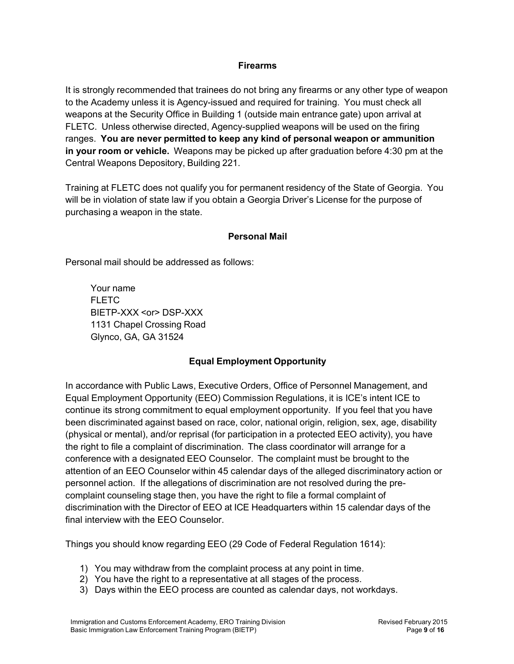#### **Firearms**

It is strongly recommended that trainees do not bring any firearms or any other type of weapon to the Academy unless it is Agency-issued and required for training. You must check all weapons at the Security Office in Building 1 (outside main entrance gate) upon arrival at FLETC. Unless otherwise directed, Agency-supplied weapons will be used on the firing ranges. **You are never permitted to keep any kind of personal weapon or ammunition in your room or vehicle.** Weapons may be picked up after graduation before 4:30 pm at the Central Weapons Depository, Building 221.

Training at FLETC does not qualify you for permanent residency of the State of Georgia. You will be in violation of state law if you obtain a Georgia Driver's License for the purpose of purchasing a weapon in the state.

### **Personal Mail**

Personal mail should be addressed as follows:

Your name FLETC BIETP-XXX <or> DSP-XXX 1131 Chapel Crossing Road Glynco, GA, GA 31524

### **Equal Employment Opportunity**

In accordance with Public Laws, Executive Orders, Office of Personnel Management, and Equal Employment Opportunity (EEO) Commission Regulations, it is ICE's intent ICE to continue its strong commitment to equal employment opportunity. If you feel that you have been discriminated against based on race, color, national origin, religion, sex, age, disability (physical or mental), and/or reprisal (for participation in a protected EEO activity), you have the right to file a complaint of discrimination. The class coordinator will arrange for a conference with a designated EEO Counselor. The complaint must be brought to the attention of an EEO Counselor within 45 calendar days of the alleged discriminatory action or personnel action. If the allegations of discrimination are not resolved during the precomplaint counseling stage then, you have the right to file a formal complaint of discrimination with the Director of EEO at ICE Headquarters within 15 calendar days of the final interview with the EEO Counselor.

Things you should know regarding EEO (29 Code of Federal Regulation 1614):

- 1) You may withdraw from the complaint process at any point in time.
- 2) You have the right to a representative at all stages of the process.
- 3) Days within the EEO process are counted as calendar days, not workdays.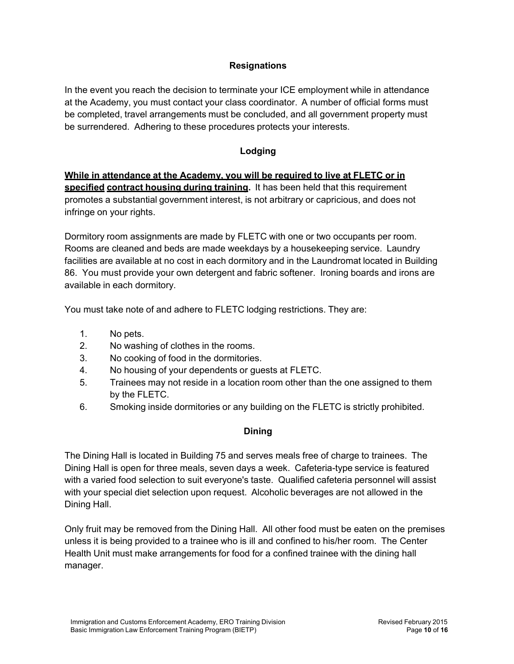### **Resignations**

In the event you reach the decision to terminate your ICE employment while in attendance at the Academy, you must contact your class coordinator. A number of official forms must be completed, travel arrangements must be concluded, and all government property must be surrendered. Adhering to these procedures protects your interests.

### **Lodging**

**While in attendance at the Academy, you will be required to live at FLETC or in specified contract housing during training.** It has been held that this requirement promotes a substantial government interest, is not arbitrary or capricious, and does not infringe on your rights.

Dormitory room assignments are made by FLETC with one or two occupants per room. Rooms are cleaned and beds are made weekdays by a housekeeping service. Laundry facilities are available at no cost in each dormitory and in the Laundromat located in Building 86. You must provide your own detergent and fabric softener. Ironing boards and irons are available in each dormitory.

You must take note of and adhere to FLETC lodging restrictions. They are:

- 1. No pets.
- 2. No washing of clothes in the rooms.
- 3. No cooking of food in the dormitories.
- 4. No housing of your dependents or guests at FLETC.
- 5. Trainees may not reside in a location room other than the one assigned to them by the FLETC.
- 6. Smoking inside dormitories or any building on the FLETC is strictly prohibited.

### **Dining**

The Dining Hall is located in Building 75 and serves meals free of charge to trainees. The Dining Hall is open for three meals, seven days a week. Cafeteria-type service is featured with a varied food selection to suit everyone's taste. Qualified cafeteria personnel will assist with your special diet selection upon request. Alcoholic beverages are not allowed in the Dining Hall.

Only fruit may be removed from the Dining Hall. All other food must be eaten on the premises unless it is being provided to a trainee who is ill and confined to his/her room. The Center Health Unit must make arrangements for food for a confined trainee with the dining hall manager.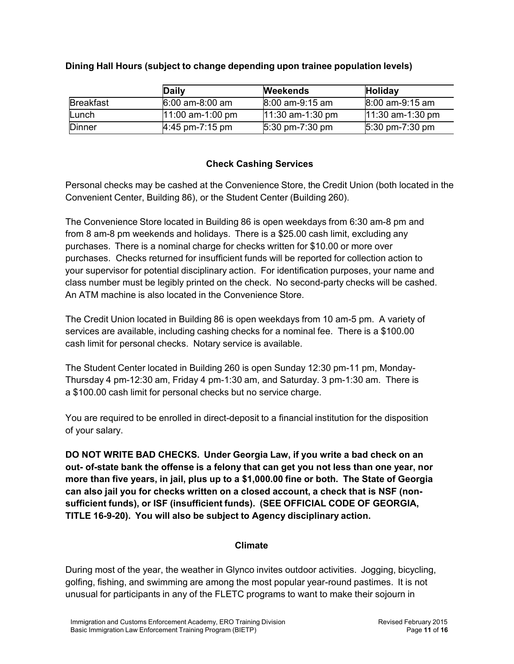|                  | <b>Daily</b>       | <b>Weekends</b>                     | Holiday                             |
|------------------|--------------------|-------------------------------------|-------------------------------------|
| <b>Breakfast</b> | $6:00$ am-8:00 am  | $8:00$ am-9:15 am                   | $8:00$ am-9:15 am                   |
| Lunch            | $11:00$ am-1:00 pm | $11:30$ am-1:30 pm                  | $11:30$ am-1:30 pm                  |
| <b>Dinner</b>    | $4:45$ pm-7:15 pm  | $5:30 \text{ pm} - 7:30 \text{ pm}$ | $5:30 \text{ pm} - 7:30 \text{ pm}$ |

### **Dining Hall Hours (subject to change depending upon trainee population levels)**

### **Check Cashing Services**

Personal checks may be cashed at the Convenience Store, the Credit Union (both located in the Convenient Center, Building 86), or the Student Center (Building 260).

The Convenience Store located in Building 86 is open weekdays from 6:30 am-8 pm and from 8 am-8 pm weekends and holidays. There is a \$25.00 cash limit, excluding any purchases. There is a nominal charge for checks written for \$10.00 or more over purchases. Checks returned for insufficient funds will be reported for collection action to your supervisor for potential disciplinary action. For identification purposes, your name and class number must be legibly printed on the check. No second-party checks will be cashed. An ATM machine is also located in the Convenience Store.

The Credit Union located in Building 86 is open weekdays from 10 am-5 pm. A variety of services are available, including cashing checks for a nominal fee. There is a \$100.00 cash limit for personal checks. Notary service is available.

The Student Center located in Building 260 is open Sunday 12:30 pm-11 pm, Monday-Thursday 4 pm-12:30 am, Friday 4 pm-1:30 am, and Saturday. 3 pm-1:30 am. There is a \$100.00 cash limit for personal checks but no service charge.

You are required to be enrolled in direct-deposit to a financial institution for the disposition of your salary.

**DO NOT WRITE BAD CHECKS. Under Georgia Law, if you write a bad check on an out- of-state bank the offense is a felony that can get you not less than one year, nor more than five years, in jail, plus up to a \$1,000.00 fine or both. The State of Georgia can also jail you for checks written on a closed account, a check that is NSF (nonsufficient funds), or ISF (insufficient funds). (SEE OFFICIAL CODE OF GEORGIA, TITLE 16-9-20). You will also be subject to Agency disciplinary action.**

### **Climate**

During most of the year, the weather in Glynco invites outdoor activities. Jogging, bicycling, golfing, fishing, and swimming are among the most popular year-round pastimes. It is not unusual for participants in any of the FLETC programs to want to make their sojourn in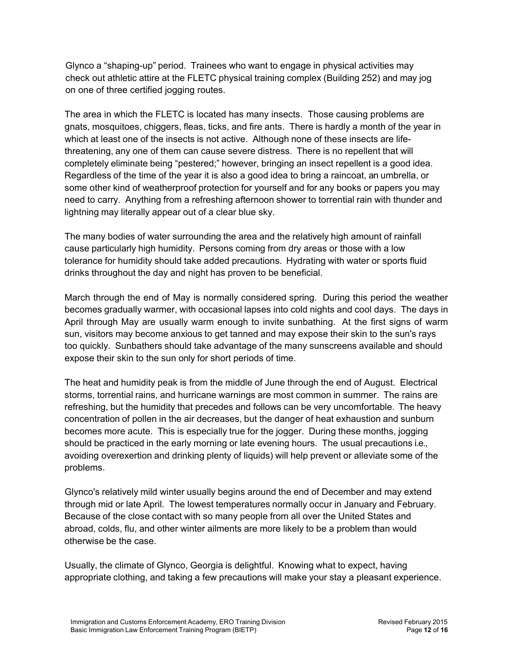Glynco a "shaping-up" period. Trainees who want to engage in physical activities may check out athletic attire at the FLETC physical training complex (Building 252) and may jog on one of three certified jogging routes.

The area in which the FLETC is located has many insects. Those causing problems are gnats, mosquitoes, chiggers, fleas, ticks, and fire ants. There is hardly a month of the year in which at least one of the insects is not active. Although none of these insects are lifethreatening, any one of them can cause severe distress. There is no repellent that will completely eliminate being "pestered;" however, bringing an insect repellent is a good idea. Regardless of the time of the year it is also a good idea to bring a raincoat, an umbrella, or some other kind of weatherproof protection for yourself and for any books or papers you may need to carry. Anything from a refreshing afternoon shower to torrential rain with thunder and lightning may literally appear out of a clear blue sky.

The many bodies of water surrounding the area and the relatively high amount of rainfall cause particularly high humidity. Persons coming from dry areas or those with a low tolerance for humidity should take added precautions. Hydrating with water or sports fluid drinks throughout the day and night has proven to be beneficial.

March through the end of May is normally considered spring. During this period the weather becomes gradually warmer, with occasional lapses into cold nights and cool days. The days in April through May are usually warm enough to invite sunbathing. At the first signs of warm sun, visitors may become anxious to get tanned and may expose their skin to the sun's rays too quickly. Sunbathers should take advantage of the many sunscreens available and should expose their skin to the sun only for short periods of time.

The heat and humidity peak is from the middle of June through the end of August. Electrical storms, torrential rains, and hurricane warnings are most common in summer. The rains are refreshing, but the humidity that precedes and follows can be very uncomfortable. The heavy concentration of pollen in the air decreases, but the danger of heat exhaustion and sunburn becomes more acute. This is especially true for the jogger. During these months, jogging should be practiced in the early morning or late evening hours. The usual precautions i.e., avoiding overexertion and drinking plenty of liquids) will help prevent or alleviate some of the problems.

Glynco's relatively mild winter usually begins around the end of December and may extend through mid or late April. The lowest temperatures normally occur in January and February. Because of the close contact with so many people from all over the United States and abroad, colds, flu, and other winter ailments are more likely to be a problem than would otherwise be the case.

Usually, the climate of Glynco, Georgia is delightful. Knowing what to expect, having appropriate clothing, and taking a few precautions will make your stay a pleasant experience.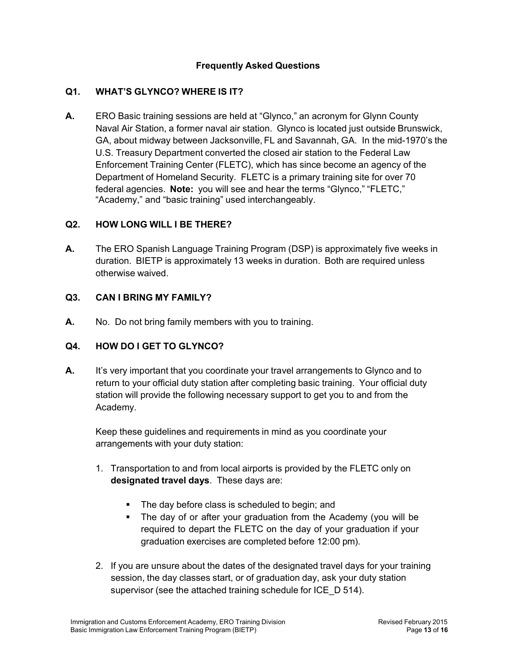### **Frequently Asked Questions**

### **Q1. WHAT'S GLYNCO? WHERE IS IT?**

**A.** ERO Basic training sessions are held at "Glynco," an acronym for Glynn County Naval Air Station, a former naval air station. Glynco is located just outside Brunswick, GA, about midway between Jacksonville, FL and Savannah, GA. In the mid-1970's the U.S. Treasury Department converted the closed air station to the Federal Law Enforcement Training Center (FLETC), which has since become an agency of the Department of Homeland Security. FLETC is a primary training site for over 70 federal agencies. **Note:** you will see and hear the terms "Glynco," "FLETC," "Academy," and "basic training" used interchangeably.

#### **Q2. HOW LONG WILL I BE THERE?**

**A.** The ERO Spanish Language Training Program (DSP) is approximately five weeks in duration. BIETP is approximately 13 weeks in duration. Both are required unless otherwise waived.

#### **Q3. CAN I BRING MY FAMILY?**

**A.** No. Do not bring family members with you to training.

#### **Q4. HOW DO I GET TO GLYNCO?**

**A.** It's very important that you coordinate your travel arrangements to Glynco and to return to your official duty station after completing basic training. Your official duty station will provide the following necessary support to get you to and from the Academy.

Keep these guidelines and requirements in mind as you coordinate your arrangements with your duty station:

- 1. Transportation to and from local airports is provided by the FLETC only on **designated travel days**. These days are:
	- The day before class is scheduled to begin; and
	- The day of or after your graduation from the Academy (you will be required to depart the FLETC on the day of your graduation if your graduation exercises are completed before 12:00 pm).
- 2. If you are unsure about the dates of the designated travel days for your training session, the day classes start, or of graduation day, ask your duty station supervisor (see the attached training schedule for ICE\_D 514).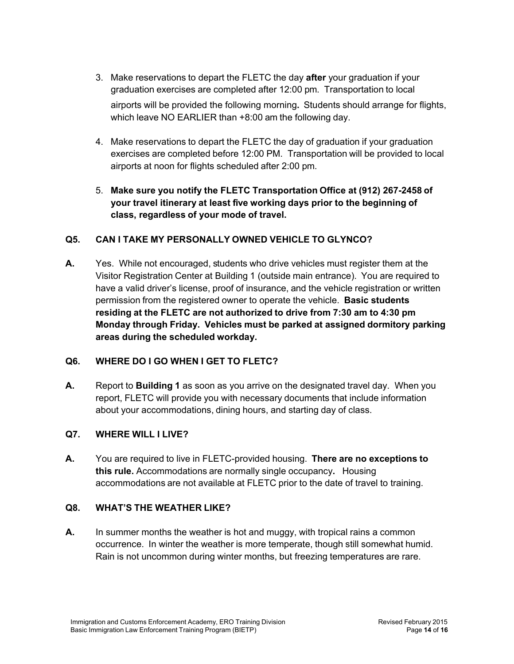- 3. Make reservations to depart the FLETC the day **after** your graduation if your graduation exercises are completed after 12:00 pm. Transportation to local airports will be provided the following morning**.** Students should arrange for flights, which leave NO EARLIER than +8:00 am the following day.
- 4. Make reservations to depart the FLETC the day of graduation if your graduation exercises are completed before 12:00 PM. Transportation will be provided to local airports at noon for flights scheduled after 2:00 pm.
- 5. **Make sure you notify the FLETC Transportation Office at (912) 267-2458 of your travel itinerary at least five working days prior to the beginning of class, regardless of your mode of travel.**

### **Q5. CAN I TAKE MY PERSONALLY OWNED VEHICLE TO GLYNCO?**

**A.** Yes. While not encouraged, students who drive vehicles must register them at the Visitor Registration Center at Building 1 (outside main entrance). You are required to have a valid driver's license, proof of insurance, and the vehicle registration or written permission from the registered owner to operate the vehicle. **Basic students residing at the FLETC are not authorized to drive from 7:30 am to 4:30 pm Monday through Friday. Vehicles must be parked at assigned dormitory parking areas during the scheduled workday.**

### **Q6. WHERE DO I GO WHEN I GET TO FLETC?**

**A.** Report to **Building 1** as soon as you arrive on the designated travel day. When you report, FLETC will provide you with necessary documents that include information about your accommodations, dining hours, and starting day of class.

### **Q7. WHERE WILL I LIVE?**

**A.** You are required to live in FLETC-provided housing. **There are no exceptions to this rule.** Accommodations are normally single occupancy**.** Housing accommodations are not available at FLETC prior to the date of travel to training.

### **Q8. WHAT'S THE WEATHER LIKE?**

**A.** In summer months the weather is hot and muggy, with tropical rains a common occurrence. In winter the weather is more temperate, though still somewhat humid. Rain is not uncommon during winter months, but freezing temperatures are rare.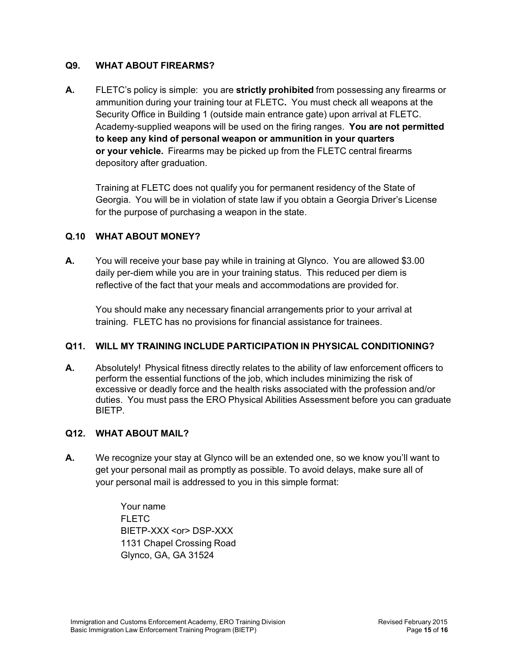### **Q9. WHAT ABOUT FIREARMS?**

**A.** FLETC's policy is simple: you are **strictly prohibited** from possessing any firearms or ammunition during your training tour at FLETC**.** You must check all weapons at the Security Office in Building 1 (outside main entrance gate) upon arrival at FLETC. Academy-supplied weapons will be used on the firing ranges. **You are not permitted to keep any kind of personal weapon or ammunition in your quarters or your vehicle.** Firearms may be picked up from the FLETC central firearms depository after graduation.

Training at FLETC does not qualify you for permanent residency of the State of Georgia. You will be in violation of state law if you obtain a Georgia Driver's License for the purpose of purchasing a weapon in the state.

### **Q.10 WHAT ABOUT MONEY?**

**A.** You will receive your base pay while in training at Glynco. You are allowed \$3.00 daily per-diem while you are in your training status. This reduced per diem is reflective of the fact that your meals and accommodations are provided for.

You should make any necessary financial arrangements prior to your arrival at training. FLETC has no provisions for financial assistance for trainees.

### **Q11. WILL MY TRAINING INCLUDE PARTICIPATION IN PHYSICAL CONDITIONING?**

**A.** Absolutely! Physical fitness directly relates to the ability of law enforcement officers to perform the essential functions of the job, which includes minimizing the risk of excessive or deadly force and the health risks associated with the profession and/or duties. You must pass the ERO Physical Abilities Assessment before you can graduate BIETP.

#### **Q12. WHAT ABOUT MAIL?**

**A.** We recognize your stay at Glynco will be an extended one, so we know you'll want to get your personal mail as promptly as possible. To avoid delays, make sure all of your personal mail is addressed to you in this simple format:

> Your name FLETC. BIETP-XXX <or> DSP-XXX 1131 Chapel Crossing Road Glynco, GA, GA 31524